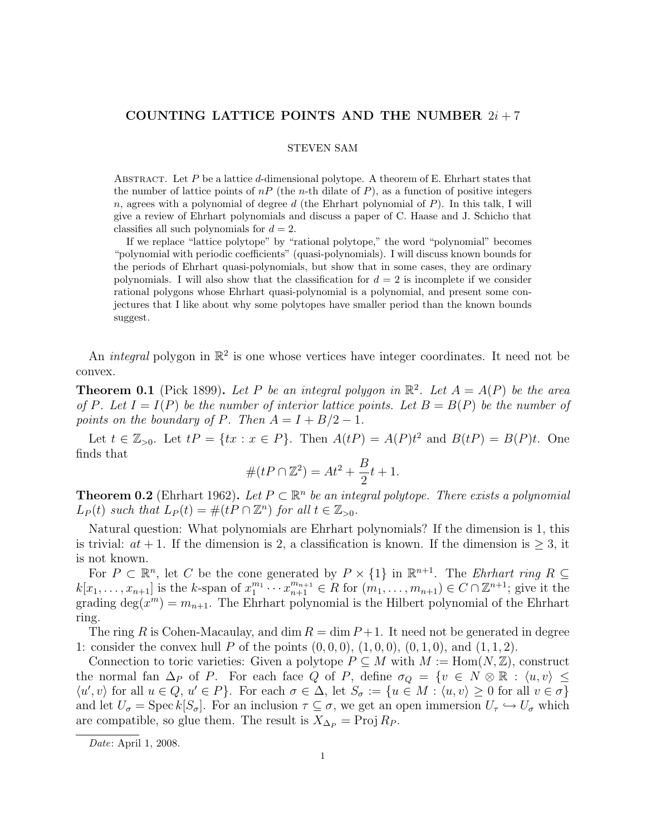## COUNTING LATTICE POINTS AND THE NUMBER  $2i + 7$

#### STEVEN SAM

ABSTRACT. Let  $P$  be a lattice d-dimensional polytope. A theorem of E. Ehrhart states that the number of lattice points of  $nP$  (the *n*-th dilate of P), as a function of positive integers  $n$ , agrees with a polynomial of degree d (the Ehrhart polynomial of  $P$ ). In this talk, I will give a review of Ehrhart polynomials and discuss a paper of C. Haase and J. Schicho that classifies all such polynomials for  $d = 2$ .

If we replace "lattice polytope" by "rational polytope," the word "polynomial" becomes "polynomial with periodic coefficients" (quasi-polynomials). I will discuss known bounds for the periods of Ehrhart quasi-polynomials, but show that in some cases, they are ordinary polynomials. I will also show that the classification for  $d = 2$  is incomplete if we consider rational polygons whose Ehrhart quasi-polynomial is a polynomial, and present some conjectures that I like about why some polytopes have smaller period than the known bounds suggest.

An *integral* polygon in  $\mathbb{R}^2$  is one whose vertices have integer coordinates. It need not be convex.

**Theorem 0.1** (Pick 1899). Let P be an integral polygon in  $\mathbb{R}^2$ . Let  $A = A(P)$  be the area of P. Let  $I = I(P)$  be the number of interior lattice points. Let  $B = B(P)$  be the number of points on the boundary of P. Then  $A = I + B/2 - 1$ .

Let  $t \in \mathbb{Z}_{>0}$ . Let  $tP = \{tx : x \in P\}$ . Then  $A(tP) = A(P)t^2$  and  $B(tP) = B(P)t$ . One finds that

$$
#(tP \cap \mathbb{Z}^2) = At^2 + \frac{B}{2}t + 1.
$$

**Theorem 0.2** (Ehrhart 1962). Let  $P \subset \mathbb{R}^n$  be an integral polytope. There exists a polynomial  $L_P(t)$  such that  $L_P(t) = \#(tP \cap \mathbb{Z}^n)$  for all  $t \in \mathbb{Z}_{>0}$ .

Natural question: What polynomials are Ehrhart polynomials? If the dimension is 1, this is trivial:  $at + 1$ . If the dimension is 2, a classification is known. If the dimension is  $\geq 3$ , it is not known.

For  $P \subset \mathbb{R}^n$ , let C be the cone generated by  $P \times \{1\}$  in  $\mathbb{R}^{n+1}$ . The *Ehrhart ring*  $R \subseteq$  $k[x_1,\ldots,x_{n+1}]$  is the k-span of  $x_1^{m_1}\cdots x_{n+1}^{m_{n+1}}\in R$  for  $(m_1,\ldots,m_{n+1})\in C\cap \mathbb{Z}^{n+1}$ ; give it the grading  $\deg(x^m) = m_{n+1}$ . The Ehrhart polynomial is the Hilbert polynomial of the Ehrhart ring.

The ring R is Cohen-Macaulay, and dim  $R = \dim P + 1$ . It need not be generated in degree 1: consider the convex hull P of the points  $(0, 0, 0)$ ,  $(1, 0, 0)$ ,  $(0, 1, 0)$ , and  $(1, 1, 2)$ .

Connection to toric varieties: Given a polytope  $P \subseteq M$  with  $M := \text{Hom}(N, \mathbb{Z})$ , construct the normal fan  $\Delta_P$  of P. For each face Q of P, define  $\sigma_Q = \{v \in N \otimes \mathbb{R} : \langle u, v \rangle \leq$  $\langle u', v \rangle$  for all  $u \in Q$ ,  $u' \in P$ . For each  $\sigma \in \Delta$ , let  $S_{\sigma} := \{u \in M : \langle u, v \rangle \geq 0 \text{ for all } v \in \sigma\}$ and let  $U_{\sigma} = \text{Spec } k[S_{\sigma}]$ . For an inclusion  $\tau \subseteq \sigma$ , we get an open immersion  $U_{\tau} \hookrightarrow U_{\sigma}$  which are compatible, so glue them. The result is  $X_{\Delta_P} = \text{Proj } R_P$ .

Date: April 1, 2008.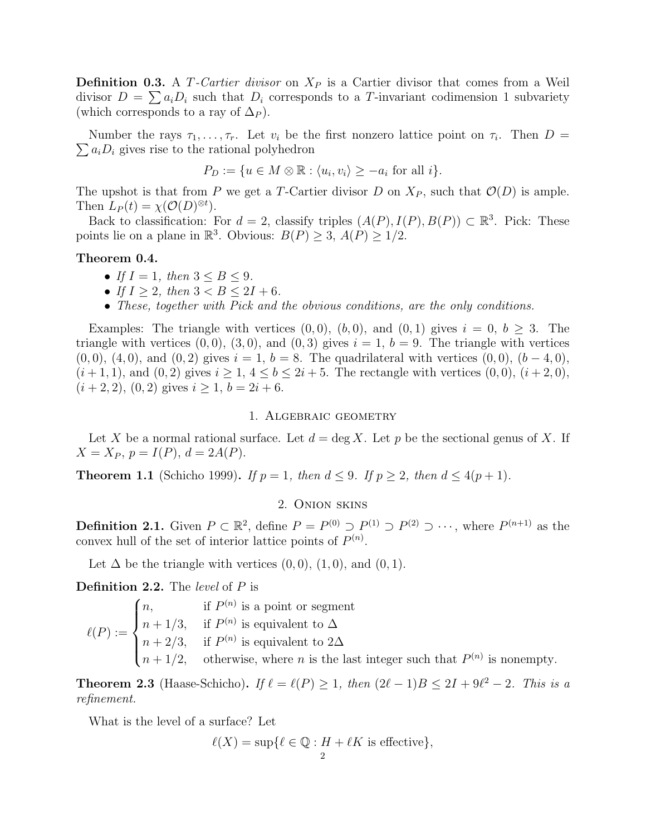**Definition 0.3.** A T-Cartier divisor on  $X_P$  is a Cartier divisor that comes from a Weil divisor  $D = \sum a_i D_i$  such that  $D_i$  corresponds to a T-invariant codimension 1 subvariety (which corresponds to a ray of  $\Delta_P$ ).

Number the rays  $\tau_1, \ldots, \tau_r$ . Let  $v_i$  be the first nonzero lattice point on  $\tau_i$ . Then  $D =$  $\sum a_i D_i$  gives rise to the rational polyhedron

$$
P_D := \{ u \in M \otimes \mathbb{R} : \langle u_i, v_i \rangle \ge -a_i \text{ for all } i \}.
$$

The upshot is that from P we get a T-Cartier divisor D on  $X_P$ , such that  $\mathcal{O}(D)$  is ample. Then  $L_P(t) = \chi(\mathcal{O}(D)^{\otimes t}).$ 

Back to classification: For  $d = 2$ , classify triples  $(A(P), I(P), B(P)) \subset \mathbb{R}^3$ . Pick: These points lie on a plane in  $\mathbb{R}^3$ . Obvious:  $B(P) \geq 3$ ,  $A(P) \geq 1/2$ .

### Theorem 0.4.

- If  $I = 1$ , then  $3 \leq B \leq 9$ .
- If  $I \geq 2$ , then  $3 < B \leq 2I + 6$ .
- These, together with Pick and the obvious conditions, are the only conditions.

Examples: The triangle with vertices  $(0,0)$ ,  $(b,0)$ , and  $(0,1)$  gives  $i = 0, b \ge 3$ . The triangle with vertices  $(0, 0)$ ,  $(3, 0)$ , and  $(0, 3)$  gives  $i = 1$ ,  $b = 9$ . The triangle with vertices  $(0, 0), (4, 0),$  and  $(0, 2)$  gives  $i = 1, b = 8$ . The quadrilateral with vertices  $(0, 0), (b - 4, 0),$  $(i+1,1)$ , and  $(0,2)$  gives  $i \geq 1, 4 \leq b \leq 2i+5$ . The rectangle with vertices  $(0,0), (i+2,0),$  $(i + 2, 2), (0, 2)$  gives  $i \geq 1, b = 2i + 6$ .

### 1. Algebraic geometry

Let X be a normal rational surface. Let  $d = \deg X$ . Let p be the sectional genus of X. If  $X = X_P, p = I(P), d = 2A(P).$ 

**Theorem 1.1** (Schicho 1999). If  $p = 1$ , then  $d \leq 9$ . If  $p \geq 2$ , then  $d \leq 4(p + 1)$ .

# 2. Onion skins

**Definition 2.1.** Given  $P \subset \mathbb{R}^2$ , define  $P = P^{(0)} \supset P^{(1)} \supset P^{(2)} \supset \cdots$ , where  $P^{(n+1)}$  as the convex hull of the set of interior lattice points of  $P^{(n)}$ .

Let  $\Delta$  be the triangle with vertices  $(0,0), (1,0),$  and  $(0,1)$ .

Definition 2.2. The *level* of P is

$$
\ell(P) := \begin{cases} n, & \text{if } P^{(n)} \text{ is a point or segment} \\ n + 1/3, & \text{if } P^{(n)} \text{ is equivalent to } \Delta \\ n + 2/3, & \text{if } P^{(n)} \text{ is equivalent to } 2\Delta \\ n + 1/2, & \text{otherwise, where } n \text{ is the last integer such that } P^{(n)} \text{ is nonempty.} \end{cases}
$$

**Theorem 2.3** (Haase-Schicho). If  $\ell = \ell(P) \geq 1$ , then  $(2\ell - 1)B \leq 2I + 9\ell^2 - 2$ . This is a refinement.

What is the level of a surface? Let

$$
\ell(X) = \sup \{ \ell \in \mathbb{Q} : H + \ell K \text{ is effective} \},
$$